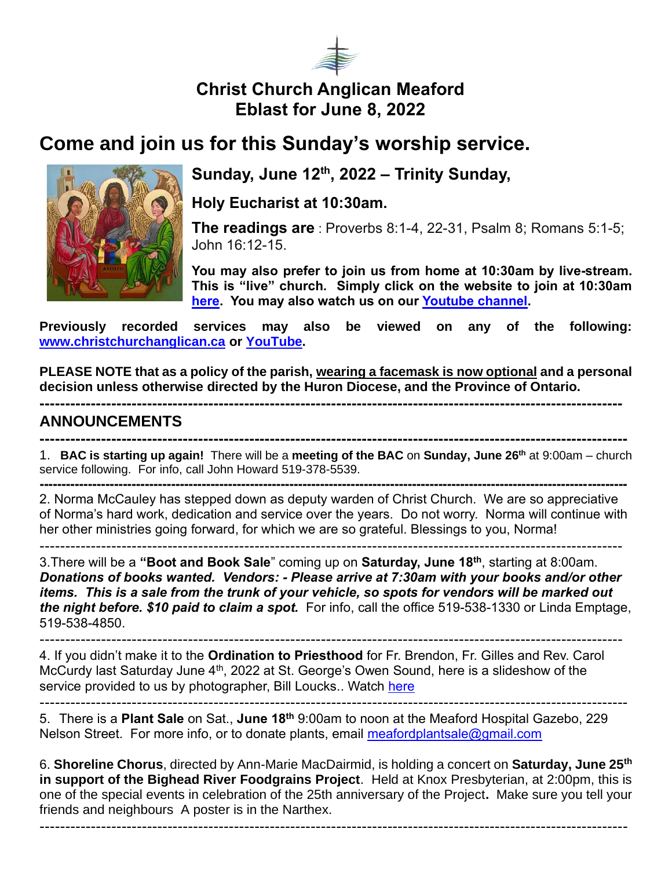

## **Christ Church Anglican Meaford Eblast for June 8, 2022**

# **Come and join us for this Sunday's worship service.**



### **Sunday, June 12th, 2022 – Trinity Sunday,**

**Holy Eucharist at 10:30am.** 

**The readings are** : Proverbs 8:1-4, 22-31, Psalm 8; Romans 5:1-5; John 16:12-15.

**You may also prefer to join us from home at 10:30am by live-stream. This is "live" church. Simply click on the website to join at 10:30am [here.](https://christchurchanglican.ca/) You may also watch us on our [Youtube channel.](https://www.youtube.com/playlist?list=PL_K_skDetjaA7oeKPxsvRmuoEcKBTkW5D)** 

**Previously recorded services may also be viewed on any of the following: [www.christchurchanglican.ca](http://www.christchurchanglican.ca/) or [YouTube.](https://www.youtube.com/channel/UCcJHYZ4ZTnJDu7skpcd4O5A)** 

**PLEASE NOTE that as a policy of the parish, wearing a facemask is now optional and a personal decision unless otherwise directed by the Huron Diocese, and the Province of Ontario.** 

**------------------------------------------------------------------------------------------------------------------**

#### **ANNOUNCEMENTS**

------------------------------------------------------------------------------------------------------------------

**-------------------------------------------------------------------------------------------------------------------** 1. **BAC is starting up again!** There will be a **meeting of the BAC** on **Sunday, June 26th** at 9:00am – church service following. For info, call John Howard 519-378-5539.

**--------------------------------------------------------------------------------------------------------------------------------------** 2. Norma McCauley has stepped down as deputy warden of Christ Church. We are so appreciative of Norma's hard work, dedication and service over the years. Do not worry. Norma will continue with her other ministries going forward, for which we are so grateful. Blessings to you, Norma!

3.There will be a **"Boot and Book Sale**" coming up on **Saturday, June 18th**, starting at 8:00am. *Donations of books wanted. Vendors: - Please arrive at 7:30am with your books and/or other items. This is a sale from the trunk of your vehicle, so spots for vendors will be marked out the night before. \$10 paid to claim a spot.* For info, call the office 519-538-1330 or Linda Emptage, 519-538-4850.

------------------------------------------------------------------------------------------------------------------ 4. If you didn't make it to the **Ordination to Priesthood** for Fr. Brendon, Fr. Gilles and Rev. Carol McCurdy last Saturday June 4<sup>th</sup>, 2022 at St. George's Owen Sound, here is a slideshow of the service provided to us by photographer, Bill Loucks.. Watch [here](https://diohuron.org/news/service-of-ordination-to-the-priesthood-st-georges-owen-sound-ontario-june-4)

------------------------------------------------------------------------------------------------------------------- 5.There is a **Plant Sale** on Sat., **June 18th** 9:00am to noon at the Meaford Hospital Gazebo, 229 Nelson Street. For more info, or to donate plants, email meafordplantsale@gmail.com

6. **Shoreline Chorus**, directed by Ann-Marie MacDairmid, is holding a concert on **Saturday, June 25th in support of the Bighead River Foodgrains Project**. Held at Knox Presbyterian, at 2:00pm, this is one of the special events in celebration of the 25th anniversary of the Project**.** Make sure you tell your friends and neighbours A poster is in the Narthex.

-------------------------------------------------------------------------------------------------------------------